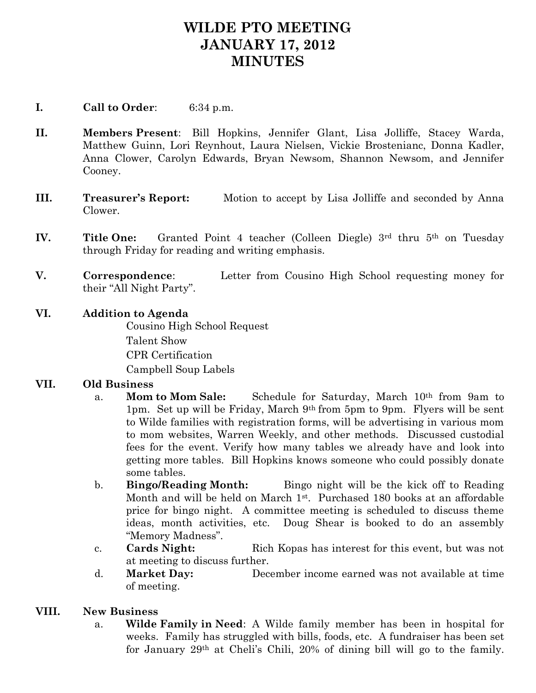# **WILDE PTO MEETING JANUARY 17, 2012 MINUTES**

## **I. Call to Order**: 6:34 p.m.

- **II. Members Present**: Bill Hopkins, Jennifer Glant, Lisa Jolliffe, Stacey Warda, Matthew Guinn, Lori Reynhout, Laura Nielsen, Vickie Brostenianc, Donna Kadler, Anna Clower, Carolyn Edwards, Bryan Newsom, Shannon Newsom, and Jennifer Cooney.
- **III. Treasurer's Report:** Motion to accept by Lisa Jolliffe and seconded by Anna Clower.
- **IV.** Title One: Granted Point 4 teacher (Colleen Diegle) 3<sup>rd</sup> thru 5<sup>th</sup> on Tuesday through Friday for reading and writing emphasis.
- **V. Correspondence**: Letter from Cousino High School requesting money for their "All Night Party".

### **VI. Addition to Agenda**

Cousino High School Request Talent Show CPR Certification Campbell Soup Labels

### **VII. Old Business**

- a. **Mom to Mom Sale:** Schedule for Saturday, March 10th from 9am to 1pm. Set up will be Friday, March 9th from 5pm to 9pm. Flyers will be sent to Wilde families with registration forms, will be advertising in various mom to mom websites, Warren Weekly, and other methods. Discussed custodial fees for the event. Verify how many tables we already have and look into getting more tables. Bill Hopkins knows someone who could possibly donate some tables.
- b. **Bingo/Reading Month:** Bingo night will be the kick off to Reading Month and will be held on March 1<sup>st</sup>. Purchased 180 books at an affordable price for bingo night. A committee meeting is scheduled to discuss theme ideas, month activities, etc. Doug Shear is booked to do an assembly "Memory Madness".
- c. **Cards Night:** Rich Kopas has interest for this event, but was not at meeting to discuss further.
- d. **Market Day:** December income earned was not available at time of meeting.

### **VIII. New Business**

a. **Wilde Family in Need**: A Wilde family member has been in hospital for weeks. Family has struggled with bills, foods, etc. A fundraiser has been set for January 29th at Cheli's Chili, 20% of dining bill will go to the family.